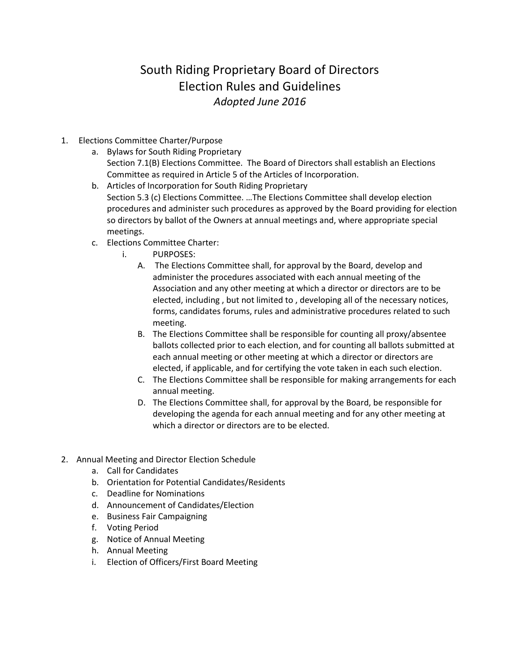## South Riding Proprietary Board of Directors Election Rules and Guidelines *Adopted June 2016*

- 1. Elections Committee Charter/Purpose
	- a. Bylaws for South Riding Proprietary Section 7.1(B) Elections Committee. The Board of Directors shall establish an Elections Committee as required in Article 5 of the Articles of Incorporation.
	- b. Articles of Incorporation for South Riding Proprietary Section 5.3 (c) Elections Committee. …The Elections Committee shall develop election procedures and administer such procedures as approved by the Board providing for election so directors by ballot of the Owners at annual meetings and, where appropriate special meetings.
	- c. Elections Committee Charter:
		- i. PURPOSES:
			- A. The Elections Committee shall, for approval by the Board, develop and administer the procedures associated with each annual meeting of the Association and any other meeting at which a director or directors are to be elected, including , but not limited to , developing all of the necessary notices, forms, candidates forums, rules and administrative procedures related to such meeting.
			- B. The Elections Committee shall be responsible for counting all proxy/absentee ballots collected prior to each election, and for counting all ballots submitted at each annual meeting or other meeting at which a director or directors are elected, if applicable, and for certifying the vote taken in each such election.
			- C. The Elections Committee shall be responsible for making arrangements for each annual meeting.
			- D. The Elections Committee shall, for approval by the Board, be responsible for developing the agenda for each annual meeting and for any other meeting at which a director or directors are to be elected.
- 2. Annual Meeting and Director Election Schedule
	- a. Call for Candidates
	- b. Orientation for Potential Candidates/Residents
	- c. Deadline for Nominations
	- d. Announcement of Candidates/Election
	- e. Business Fair Campaigning
	- f. Voting Period
	- g. Notice of Annual Meeting
	- h. Annual Meeting
	- i. Election of Officers/First Board Meeting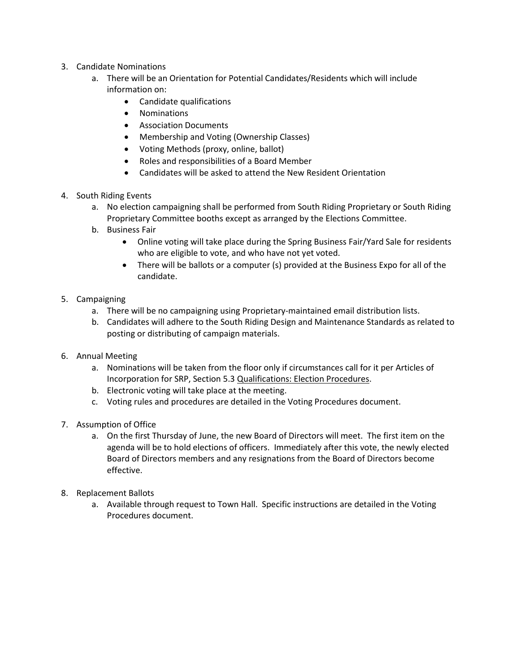- 3. Candidate Nominations
	- a. There will be an Orientation for Potential Candidates/Residents which will include information on:
		- Candidate qualifications
		- Nominations
		- Association Documents
		- Membership and Voting (Ownership Classes)
		- Voting Methods (proxy, online, ballot)
		- Roles and responsibilities of a Board Member
		- Candidates will be asked to attend the New Resident Orientation
- 4. South Riding Events
	- a. No election campaigning shall be performed from South Riding Proprietary or South Riding Proprietary Committee booths except as arranged by the Elections Committee.
	- b. Business Fair
		- Online voting will take place during the Spring Business Fair/Yard Sale for residents who are eligible to vote, and who have not yet voted.
		- There will be ballots or a computer (s) provided at the Business Expo for all of the candidate.
- 5. Campaigning
	- a. There will be no campaigning using Proprietary-maintained email distribution lists.
	- b. Candidates will adhere to the South Riding Design and Maintenance Standards as related to posting or distributing of campaign materials.
- 6. Annual Meeting
	- a. Nominations will be taken from the floor only if circumstances call for it per Articles of Incorporation for SRP, Section 5.3 Qualifications: Election Procedures.
	- b. Electronic voting will take place at the meeting.
	- c. Voting rules and procedures are detailed in the Voting Procedures document.
- 7. Assumption of Office
	- a. On the first Thursday of June, the new Board of Directors will meet. The first item on the agenda will be to hold elections of officers. Immediately after this vote, the newly elected Board of Directors members and any resignations from the Board of Directors become effective.
- 8. Replacement Ballots
	- a. Available through request to Town Hall. Specific instructions are detailed in the Voting Procedures document.